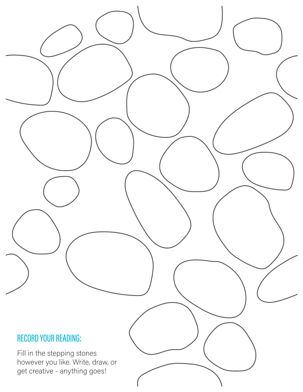## RECORD YOUR READING:

Fill in the stepping stones however you like. Write, draw, or get creative - anything goes!